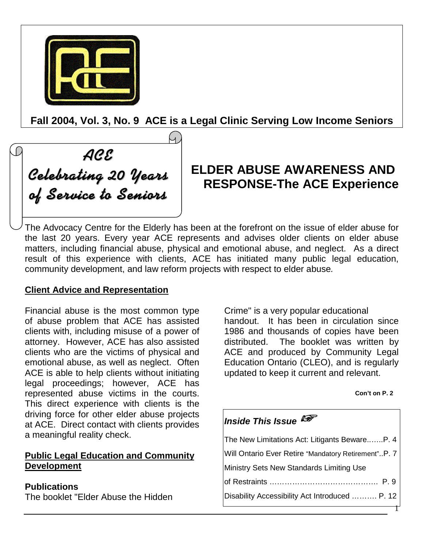

**Fall 2004, Vol. 3, No. 9 ACE is a Legal Clinic Serving Low Income Seniors**

ACE Celebrating 20 Years of Service to Seniors

# **ELDER ABUSE AWARENESS AND RESPONSE-The ACE Experience**

The Advocacy Centre for the Elderly has been at the forefront on the issue of elder abuse for the last 20 years. Every year ACE represents and advises older clients on elder abuse matters, including financial abuse, physical and emotional abuse, and neglect. As a direct result of this experience with clients, ACE has initiated many public legal education, community development, and law reform projects with respect to elder abuse*.*

### **Client Advice and Representation**

Financial abuse is the most common type of abuse problem that ACE has assisted clients with, including misuse of a power of attorney. However, ACE has also assisted clients who are the victims of physical and emotional abuse, as well as neglect. Often ACE is able to help clients without initiating legal proceedings; however, ACE has represented abuse victims in the courts. This direct experience with clients is the driving force for other elder abuse projects at ACE. Direct contact with clients provides a meaningful reality check.

### **Public Legal Education and Community Development**

### **Publications**

The booklet "Elder Abuse the Hidden

Crime" is a very popular educational handout. It has been in circulation since 1986 and thousands of copies have been distributed. The booklet was written by ACE and produced by Community Legal Education Ontario (CLEO), and is regularly updated to keep it current and relevant.

#### **Con't on P. 2**

# *Inside This Issue*

| The New Limitations Act: Litigants BewareP. 4       |
|-----------------------------------------------------|
| Will Ontario Ever Retire "Mandatory Retirement"P. 7 |
| Ministry Sets New Standards Limiting Use            |
|                                                     |
| Disability Accessibility Act Introduced  P. 12      |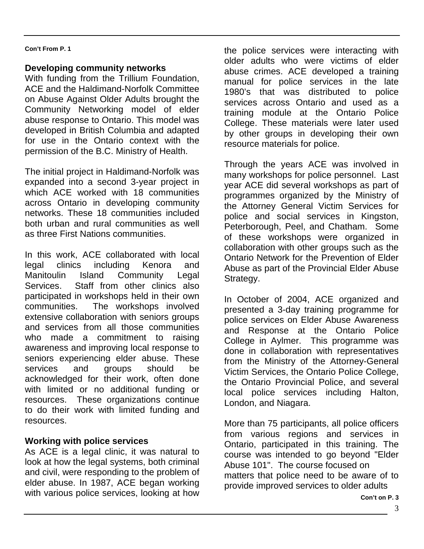### **Developing community networks**

With funding from the Trillium Foundation, ACE and the Haldimand-Norfolk Committee on Abuse Against Older Adults brought the Community Networking model of elder abuse response to Ontario. This model was developed in British Columbia and adapted for use in the Ontario context with the permission of the B.C. Ministry of Health.

The initial project in Haldimand-Norfolk was expanded into a second 3-year project in which ACE worked with 18 communities across Ontario in developing community networks. These 18 communities included both urban and rural communities as well as three First Nations communities.

In this work, ACE collaborated with local legal clinics including Kenora and Manitoulin Island Community Legal Services. Staff from other clinics also participated in workshops held in their own communities. The workshops involved extensive collaboration with seniors groups and services from all those communities who made a commitment to raising awareness and improving local response to seniors experiencing elder abuse. These services and groups should be acknowledged for their work, often done with limited or no additional funding or resources. These organizations continue to do their work with limited funding and resources.

### **Working with police services**

As ACE is a legal clinic, it was natural to look at how the legal systems, both criminal and civil, were responding to the problem of elder abuse. In 1987, ACE began working with various police services, looking at how

the police services were interacting with older adults who were victims of elder abuse crimes. ACE developed a training manual for police services in the late 1980's that was distributed to police services across Ontario and used as a training module at the Ontario Police College. These materials were later used by other groups in developing their own resource materials for police.

Through the years ACE was involved in many workshops for police personnel. Last year ACE did several workshops as part of programmes organized by the Ministry of the Attorney General Victim Services for police and social services in Kingston, Peterborough, Peel, and Chatham. Some of these workshops were organized in collaboration with other groups such as the Ontario Network for the Prevention of Elder Abuse as part of the Provincial Elder Abuse Strategy.

In October of 2004, ACE organized and presented a 3-day training programme for police services on Elder Abuse Awareness and Response at the Ontario Police College in Aylmer. This programme was done in collaboration with representatives from the Ministry of the Attorney-General Victim Services, the Ontario Police College, the Ontario Provincial Police, and several local police services including Halton, London, and Niagara.

More than 75 participants, all police officers from various regions and services in Ontario, participated in this training. The course was intended to go beyond "Elder Abuse 101". The course focused on matters that police need to be aware of to provide improved services to older adults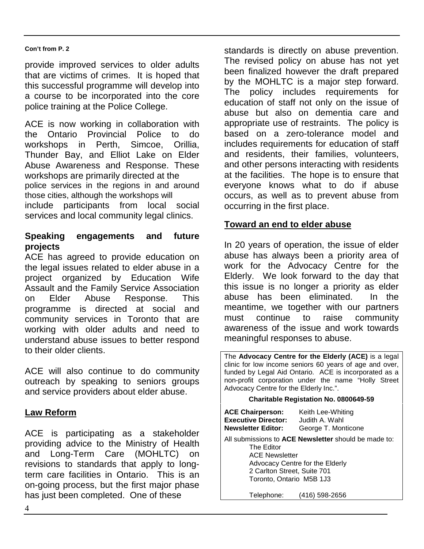provide improved services to older adults that are victims of crimes. It is hoped that this successful programme will develop into a course to be incorporated into the core police training at the Police College.

ACE is now working in collaboration with the Ontario Provincial Police to do workshops in Perth, Simcoe, Orillia, Thunder Bay, and Elliot Lake on Elder Abuse Awareness and Response. These workshops are primarily directed at the police services in the regions in and around those cities, although the workshops will include participants from local social services and local community legal clinics.

### **Speaking engagements and future projects**

ACE has agreed to provide education on the legal issues related to elder abuse in a project organized by Education Wife Assault and the Family Service Association on Elder Abuse Response. This programme is directed at social and community services in Toronto that are working with older adults and need to understand abuse issues to better respond to their older clients.

ACE will also continue to do community outreach by speaking to seniors groups and service providers about elder abuse.

### **Law Reform**

ACE is participating as a stakeholder providing advice to the Ministry of Health and Long-Term Care (MOHLTC) on revisions to standards that apply to longterm care facilities in Ontario. This is an on-going process, but the first major phase has just been completed. One of these

standards is directly on abuse prevention. The revised policy on abuse has not yet been finalized however the draft prepared by the MOHLTC is a major step forward. The policy includes requirements for education of staff not only on the issue of abuse but also on dementia care and appropriate use of restraints. The policy is based on a zero-tolerance model and includes requirements for education of staff and residents, their families, volunteers, and other persons interacting with residents at the facilities. The hope is to ensure that everyone knows what to do if abuse occurs, as well as to prevent abuse from occurring in the first place.

### **Toward an end to elder abuse**

In 20 years of operation, the issue of elder abuse has always been a priority area of work for the Advocacy Centre for the Elderly. We look forward to the day that this issue is no longer a priority as elder abuse has been eliminated. In the meantime, we together with our partners must continue to raise community awareness of the issue and work towards meaningful responses to abuse.

The **Advocacy Centre for the Elderly (ACE)** is a legal clinic for low income seniors 60 years of age and over, funded by Legal Aid Ontario. ACE is incorporated as a non-profit corporation under the name "Holly Street Advocacy Centre for the Elderly Inc.". **Charitable Registation No. 0800649-59 ACE Chairperson:** Keith Lee-Whiting

| AVL VIIII puisvii.<br><b>Executive Director:</b><br><b>Newsletter Editor:</b>                  | <b>INGHIT LOO YYTHUING</b><br>Judith A. Wahl<br>George T. Monticone                     |
|------------------------------------------------------------------------------------------------|-----------------------------------------------------------------------------------------|
| The Editor<br><b>ACE Newsletter</b><br>2 Carlton Street, Suite 701<br>Toronto, Ontario M5B 1J3 | All submissions to ACE Newsletter should be made to:<br>Advocacy Centre for the Elderly |
| Telephone:                                                                                     | (416) 598-2656                                                                          |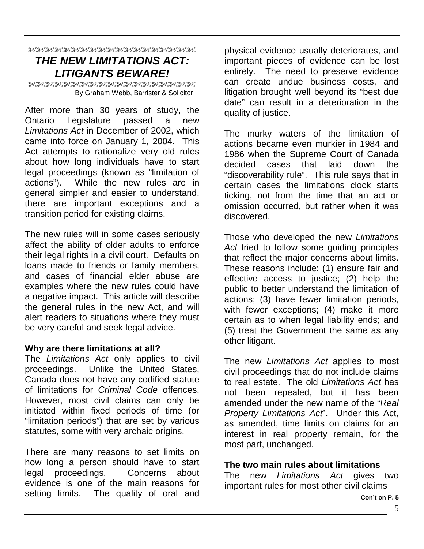### XXXXXXXXXXXXXXXXXXXXXXX *THE NEW LIMITATIONS ACT: LITIGANTS BEWARE!*

XXXXXXXXXXXXXXXXXXXXXXXX By Graham Webb, Barrister & Solicitor

After more than 30 years of study, the Ontario Legislature passed a new *Limitations Act* in December of 2002, which came into force on January 1, 2004. This Act attempts to rationalize very old rules about how long individuals have to start legal proceedings (known as "limitation of actions"). While the new rules are in general simpler and easier to understand, there are important exceptions and a transition period for existing claims.

The new rules will in some cases seriously affect the ability of older adults to enforce their legal rights in a civil court. Defaults on loans made to friends or family members, and cases of financial elder abuse are examples where the new rules could have a negative impact. This article will describe the general rules in the new Act, and will alert readers to situations where they must be very careful and seek legal advice.

### **Why are there limitations at all?**

The *Limitations Act* only applies to civil proceedings. Unlike the United States, Canada does not have any codified statute of limitations for *Criminal Code* offences. However, most civil claims can only be initiated within fixed periods of time (or "limitation periods") that are set by various statutes, some with very archaic origins.

There are many reasons to set limits on how long a person should have to start legal proceedings. Concerns about evidence is one of the main reasons for setting limits. The quality of oral and

physical evidence usually deteriorates, and important pieces of evidence can be lost entirely. The need to preserve evidence can create undue business costs, and litigation brought well beyond its "best due date" can result in a deterioration in the quality of justice.

The murky waters of the limitation of actions became even murkier in 1984 and 1986 when the Supreme Court of Canada decided cases that laid down the "discoverability rule". This rule says that in certain cases the limitations clock starts ticking, not from the time that an act or omission occurred, but rather when it was discovered.

Those who developed the new *Limitations Act* tried to follow some guiding principles that reflect the major concerns about limits. These reasons include: (1) ensure fair and effective access to justice; (2) help the public to better understand the limitation of actions; (3) have fewer limitation periods, with fewer exceptions; (4) make it more certain as to when legal liability ends; and (5) treat the Government the same as any other litigant.

The new *Limitations Act* applies to most civil proceedings that do not include claims to real estate. The old *Limitations Act* has not been repealed, but it has been amended under the new name of the "*Real Property Limitations Act*". Under this Act, as amended, time limits on claims for an interest in real property remain, for the most part, unchanged.

### **The two main rules about limitations**

The new *Limitations Act* gives two important rules for most other civil claims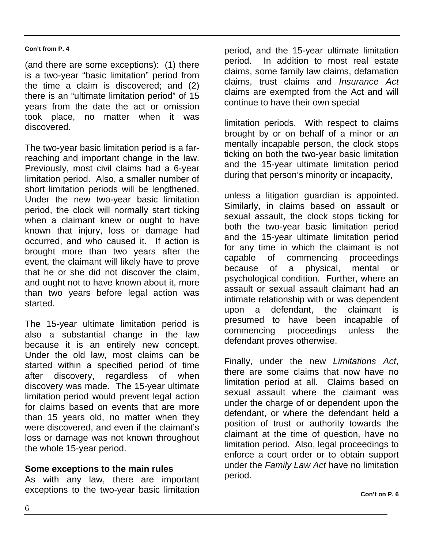(and there are some exceptions): (1) there is a two-year "basic limitation" period from the time a claim is discovered; and (2) there is an "ultimate limitation period" of 15 years from the date the act or omission took place, no matter when it was discovered.

The two-year basic limitation period is a farreaching and important change in the law. Previously, most civil claims had a 6-year limitation period. Also, a smaller number of short limitation periods will be lengthened. Under the new two-year basic limitation period, the clock will normally start ticking when a claimant knew or ought to have known that injury, loss or damage had occurred, and who caused it. If action is brought more than two years after the event, the claimant will likely have to prove that he or she did not discover the claim, and ought not to have known about it, more than two years before legal action was started.

The 15-year ultimate limitation period is also a substantial change in the law because it is an entirely new concept. Under the old law, most claims can be started within a specified period of time after discovery, regardless of when discovery was made. The 15-year ultimate limitation period would prevent legal action for claims based on events that are more than 15 years old, no matter when they were discovered, and even if the claimant's loss or damage was not known throughout the whole 15-year period.

### **Some exceptions to the main rules**

As with any law, there are important exceptions to the two-year basic limitation

period, and the 15-year ultimate limitation period. In addition to most real estate claims, some family law claims, defamation claims, trust claims and *Insurance Act* claims are exempted from the Act and will continue to have their own special

limitation periods. With respect to claims brought by or on behalf of a minor or an mentally incapable person, the clock stops ticking on both the two-year basic limitation and the 15-year ultimate limitation period during that person's minority or incapacity,

unless a litigation guardian is appointed. Similarly, in claims based on assault or sexual assault, the clock stops ticking for both the two-year basic limitation period and the 15-year ultimate limitation period for any time in which the claimant is not capable of commencing proceedings because of a physical, mental or psychological condition. Further, where an assault or sexual assault claimant had an intimate relationship with or was dependent upon a defendant, the claimant is presumed to have been incapable of commencing proceedings unless the defendant proves otherwise.

Finally, under the new *Limitations Act*, there are some claims that now have no limitation period at all. Claims based on sexual assault where the claimant was under the charge of or dependent upon the defendant, or where the defendant held a position of trust or authority towards the claimant at the time of question, have no limitation period. Also, legal proceedings to enforce a court order or to obtain support under the *Family Law Act* have no limitation period.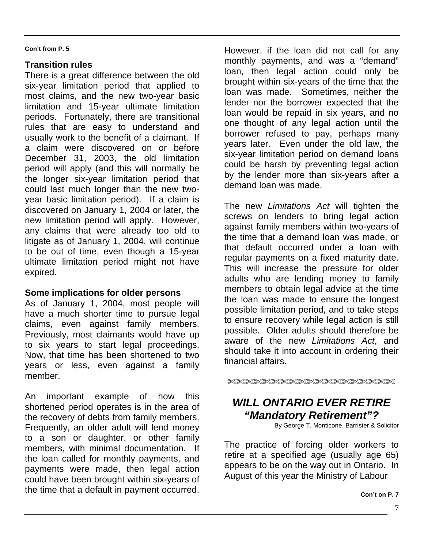### **Transition rules**

There is a great difference between the old six-year limitation period that applied to most claims, and the new two-year basic limitation and 15-year ultimate limitation periods. Fortunately, there are transitional rules that are easy to understand and usually work to the benefit of a claimant. If a claim were discovered on or before December 31, 2003, the old limitation period will apply (and this will normally be the longer six-year limitation period that could last much longer than the new twoyear basic limitation period). If a claim is discovered on January 1, 2004 or later, the new limitation period will apply. However, any claims that were already too old to litigate as of January 1, 2004, will continue to be out of time, even though a 15-year ultimate limitation period might not have expired.

### **Some implications for older persons**

As of January 1, 2004, most people will have a much shorter time to pursue legal claims, even against family members. Previously, most claimants would have up to six years to start legal proceedings. Now, that time has been shortened to two years or less, even against a family member.

An important example of how this shortened period operates is in the area of the recovery of debts from family members. Frequently, an older adult will lend money to a son or daughter, or other family members, with minimal documentation. If the loan called for monthly payments, and payments were made, then legal action could have been brought within six-years of the time that a default in payment occurred.

However, if the loan did not call for any monthly payments, and was a "demand" loan, then legal action could only be brought within six-years of the time that the loan was made. Sometimes, neither the lender nor the borrower expected that the loan would be repaid in six years, and no one thought of any legal action until the borrower refused to pay, perhaps many years later. Even under the old law, the six-year limitation period on demand loans could be harsh by preventing legal action by the lender more than six-years after a demand loan was made.

The new *Limitations Act* will tighten the screws on lenders to bring legal action against family members within two-years of the time that a demand loan was made, or that default occurred under a loan with regular payments on a fixed maturity date. This will increase the pressure for older adults who are lending money to family members to obtain legal advice at the time the loan was made to ensure the longest possible limitation period, and to take steps to ensure recovery while legal action is still possible. Older adults should therefore be aware of the new *Limitations Act*, and should take it into account in ordering their financial affairs.

XXXXXXXXXXXXXXXXXXXXXXXXX

# *WILL ONTARIO EVER RETIRE "Mandatory Retirement"?*

By George T. Monticone, Barrister & Solicitor

The practice of forcing older workers to retire at a specified age (usually age 65) appears to be on the way out in Ontario. In August of this year the Ministry of Labour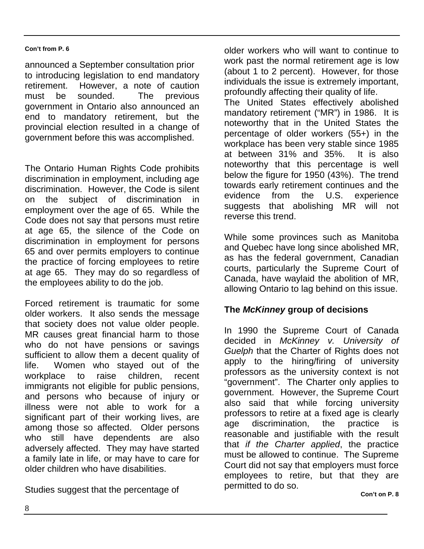announced a September consultation prior to introducing legislation to end mandatory retirement. However, a note of caution must be sounded. The previous government in Ontario also announced an end to mandatory retirement, but the provincial election resulted in a change of government before this was accomplished.

The Ontario Human Rights Code prohibits discrimination in employment, including age discrimination. However, the Code is silent on the subject of discrimination employment over the age of 65. While the Code does not say that persons must retire at age 65, the silence of the Code on discrimination in employment for persons 65 and over permits employers to continue the practice of forcing employees to retire at age 65. They may do so regardless of the employees ability to do the job.

Forced retirement is traumatic for some older workers. It also sends the message that society does not value older people. MR causes great financial harm to those who do not have pensions or savings sufficient to allow them a decent quality of life. Women who stayed out of the workplace to raise children, recent immigrants not eligible for public pensions, and persons who because of injury or illness were not able to work for a significant part of their working lives, are among those so affected. Older persons who still have dependents are also adversely affected. They may have started a family late in life, or may have to care for older children who have disabilities.

Studies suggest that the percentage of

older workers who will want to continue to work past the normal retirement age is low (about 1 to 2 percent). However, for those individuals the issue is extremely important, profoundly affecting their quality of life. The United States effectively abolished mandatory retirement ("MR") in 1986. It is noteworthy that in the United States the percentage of older workers (55+) in the workplace has been very stable since 1985 at between 31% and 35%. It is also noteworthy that this percentage is well below the figure for 1950 (43%). The trend towards early retirement continues and the evidence from the U.S. experience suggests that abolishing MR will not reverse this trend.

While some provinces such as Manitoba and Quebec have long since abolished MR, as has the federal government, Canadian courts, particularly the Supreme Court of Canada, have waylaid the abolition of MR, allowing Ontario to lag behind on this issue.

### **The** *McKinney* **group of decisions**

In 1990 the Supreme Court of Canada decided in *McKinney v. University of Guelph* that the Charter of Rights does not apply to the hiring/firing of university professors as the university context is not "government". The Charter only applies to government. However, the Supreme Court also said that while forcing university professors to retire at a fixed age is clearly age discrimination, the practice is reasonable and justifiable with the result that *if the Charter applied*, the practice must be allowed to continue. The Supreme Court did not say that employers must force employees to retire, but that they are permitted to do so.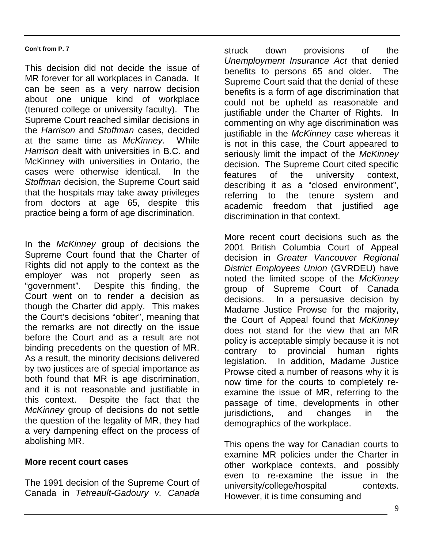This decision did not decide the issue of MR forever for all workplaces in Canada. It can be seen as a very narrow decision about one unique kind of workplace (tenured college or university faculty). The Supreme Court reached similar decisions in the *Harrison* and *Stoffman* cases, decided at the same time as *McKinney*. While *Harrison* dealt with universities in B.C. and McKinney with universities in Ontario, the cases were otherwise identical. In the *Stoffman* decision, the Supreme Court said that the hospitals may take away privileges from doctors at age 65, despite this practice being a form of age discrimination.

In the *McKinney* group of decisions the Supreme Court found that the Charter of Rights did not apply to the context as the employer was not properly seen as<br>"government". Despite this finding, the Despite this finding, the Court went on to render a decision as though the Charter did apply. This makes the Court's decisions "obiter", meaning that the remarks are not directly on the issue before the Court and as a result are not binding precedents on the question of MR. As a result, the [minority decisi](http://www.aarp.org/)ons delivered by two justices are of special importance as both found that MR is age discrimination, and it is not reasonable and justifiable in this context. Despite the fact that the *McKinney* group of decisions do not settle the question of the legality of MR, they had a very dampening effect on the process of abolishing MR.

### **More recent court cases**

The 1991 decision of the Supreme Court of Canada in *Tetreault-Gadoury v. Canada*

struck down provisions of the *Unemployment Insurance Act* that denied benefits to persons 65 and older. The Supreme Court said that the denial of these benefits is a form of age discrimination that could not be upheld as reasonable and justifiable under the Charter of Rights. In commenting on why age discrimination was justifiable in the *McKinney* case whereas it is not in this case, the Court appeared to seriously limit the impact of the *McKinney* decision. The Supreme Court cited specific features of the university context, describing it as a "closed environment", referring to the tenure system and academic freedom that justified age discrimination in that context.

More recent court decisions such as the 2001 British Columbia Court of Appeal decision in *Greater Vancouver Regional District Employees Union* (GVRDEU) have noted the limited scope of the *McKinney* group of Supreme Court of Canada decisions. In a persuasive decision by Madame Justice Prowse for the majority, the Court of Appeal found that *McKinney* does not stand for the view that an MR policy is acceptable simply because it is not contrary to provincial human rights legislation. In addition, Madame Justice Prowse cited a number of reasons why it is now time for the courts to completely reexamine the issue of MR, referring to the passage of time, developments in other<br>jurisdictions, and changes in the jurisdictions, and changes in the demographics of the workplace.

This opens the way for Canadian courts to examine MR policies under the Charter in other workplace contexts, and possibly even to re-examine the issue in the university/college/hospital contexts. However, it is time consuming and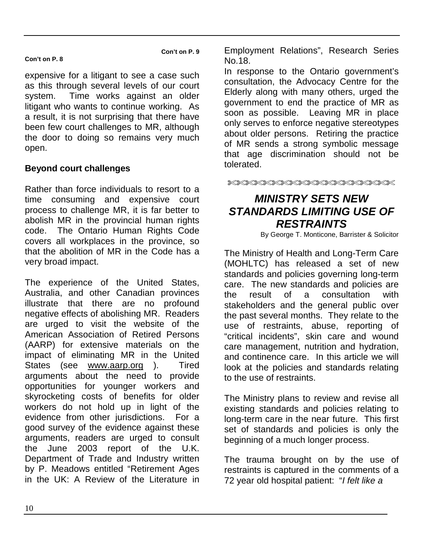**Con't on P. 9**

### **Con't on P. 8**

expensive for a litigant to see a case suc[h](#page-11-0) as this through several levels of our court system. Time works against an older litigant who wants to continue working. As a result, it is not surprising that there have been few cour[t c](#page-11-1)hallenges to MR, although the door to doing so remains very much open.

### **Beyond court challenges**

Rather than force individuals to resort to a time consuming and expensive court process to challenge MR, it is far better to abolish MR in the provincial human rights code. The Ontario Human Rights Code covers all workplaces in the province, so that the abolition of MR in the Code has a very broad impact.

The experience of the United States, Australia, and other Canadian provinces illustrate that there are no profound negative effects of abolishing MR. Readers are urged to visit the website of the American Association of Retired Persons (AARP) for extensive materials on the impact of eliminating MR in the United States (see www.aarp.org ). Tired arguments about the need to provide opportunities for younger workers and skyrocketing costs of benefits for older workers do not hold up in light of the evidence from other jurisdictions. For a good survey of the evidence against these arguments, readers are urged to consult the June 2003 report of the U.K. Department of Trade and Industry written by P. Meadows entitled "Retirement Ages in the UK: A Review of the Literature in

Employment Relations", Research Series No.18.

In response to the Ontario government's consultation, the Advocacy Centre for the Elderly along with many others, urged the government to end the practice of MR as soon as possible. Leaving MR in place only serves to enforce negative stereotypes about older persons. Retiring the practice of MR sends a strong symbolic message that age discrimination should not be tolerated.

XXXXXXXXXXXXXXXXXXXXXXX

## *MINISTRY SETS NEW STANDARDS LIMITING USE OF RESTRAINTS*

By George T. Monticone, Barrister & Solicitor

The Ministry of Health and Long-Term Care (MOHLTC) has released a set of new standards and policies governing long-term care. The new standards and policies are the result of a consultation with stakeholders and the general public over the past several months. They relate to the use of restraints, abuse, reporting of "critical incidents", skin care and wound care management, nutrition and hydration, and continence care. In this article we will look at the policies and standards relating to the use of restraints.

The Ministry plans to review and revise all existing standards and policies relating to long-term care in the near future. This first set of standards and policies is only the beginning of a much longer process.

The trauma brought on by the use of restraints is captured in the comments of a 72 year old hospital patient: "*I felt like a*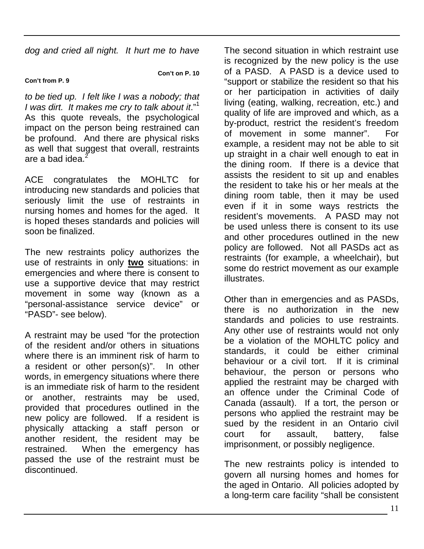*dog and cried all night. It hurt me to have*

#### **Con't from P. 9**

**Con't on P. 10**

*to be tied up. I felt like I was a nobody; that I was dirt. It makes me cry to talk about it*."<sup>1</sup> As this quote reveals, the psychological impact on the person being restrained can be profound. And there are physical risks as well that suggest that overall, restraints are a bad idea.<sup>2</sup>

ACE congratulates the MOHLTC for introducing new standards and policies that seriously limit the use of restraints in nursing homes and homes for the aged. It is hoped theses standards and policies will soon be finalized.

The new restraints policy authorizes the use of restraints in only **two** situations: in emergencies and where there is consent to use a supportive device that may restrict movement in some way (known as a "personal-assistance service device" or "PASD"- see below).

A restraint may be used "for the protection of the resident and/or others in situations where there is an imminent risk of harm to a resident or other person(s)". In other words, in emergency situations where there is an immediate risk of harm to the resident or another, restraints may be used, provided that procedures outlined in the new policy are followed. If a resident is physically attacking a staff person or another resident, the resident may be restrained. When the emergency has passed the use of the restraint must be discontinued.

The second situation in which restraint use is recognized by the new policy is the use of a PASD. A PASD is a device used to "support or stabilize the resident so that his or her participation in activities of daily living (eating, walking, recreation, etc.) and quality of life are improved and which, as a by-product, restrict the resident's freedom of movement in some manner". For example, a resident may not be able to sit up straight in a chair well enough to eat in the dining room. If there is a device that assists the resident to sit up and enables the resident to take his or her meals at the dining room table, then it may be used even if it in some ways restricts the resident's movements. A PASD may not be used unless there is consent to its use and other procedures outlined in the new policy are followed. Not all PASDs act as restraints (for example, a wheelchair), but some do restrict movement as our example illustrates.

Other than in emergencies and as PASDs, there is no authorization in the new standards and policies to use restraints. Any other use of restraints would not only be a violation of the MOHLTC policy and standards, it could be either criminal behaviour or a civil tort. If it is criminal behaviour, the person or persons who applied the restraint may be charged with an offence under the Criminal Code of Canada (assault). If a tort, the person or persons who applied the restraint may be sued by the resident in an Ontario civil court for assault, battery, false imprisonment, or possibly negligence.

The new restraints policy is intended to govern all nursing homes and homes for the aged in Ontario. All policies adopted by a long-term care facility "shall be consistent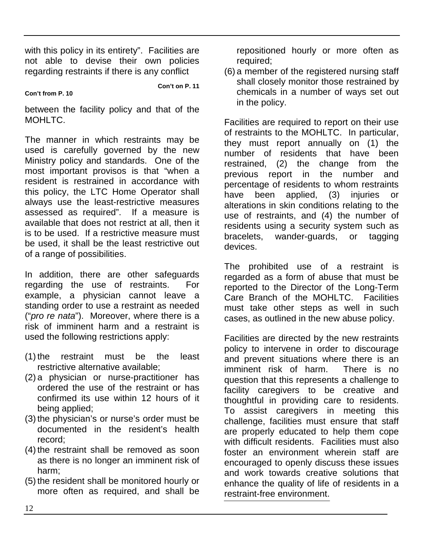with this policy in its entirety". Facilities are not able to devise their own policies regarding restraints if there is any conflict

**Con't on P. 11**

**Con't from P. 10**

between the facility policy and that of the MOHLTC.

The manner in which restraints may be used is carefully governed by the new Ministry policy and standards. One of the most important provisos is that "when a resident is restrained in accordance with this policy, the LTC Home Operator shall always use the least-restrictive measures assessed as required". If a measure is available that does not restrict at all, then it is to be used. If a restrictive measure must be used, it shall be th[e least restrictive out](http://www.odacommittee.net/) of a range of possibilities.

In addition, there are other safeguards regarding the use of restraints. For example, a physician cannot leave a standing order to use a restraint as needed ("*pro re nata*"). Moreover, where there is a risk of imminent harm and a restraint is used the following restrictions apply:

- (1) the restraint must be the least restrictive alternative available;
- (2) a physician or nurse-practitioner has ordered the use of the restraint or has confirmed its use within 12 hours of it being applied;
- (3) the physician's or nurse's order must be documented in the resident's health record;
- (4) the restraint shall be removed as soon as there is no longer an imminent risk of harm;
- (5) the resident shall be monitored hourly or more often as required, and shall be

repositioned hourly or more often as required;

(6) a member of the registered nursing staff shall closely monitor those restrained by chemicals in a number of ways set out in the policy.

Facilities are required to report on their use of restraints to the MOHLTC. In particular, they must report annually on (1) the number of residents that have been restrained, (2) the change from the previous report in the number and percentage of residents to whom restraints have been applied, (3) injuries or alterations in skin [conditions relating to the](http://www.e-laws.gov.on.ca/) use of restraints, and (4) the number of residents using a security system such as bracelets, wander-guards, or tagging devices.

The prohibited use of a restraint is regarded as a form of abuse that must be reported to the Director of the Long-Term Care Branch of the MOHLTC. Facilities must take other steps as well in such cases, as outlined in the new abuse policy.

Facilities are directed by the new restraints policy to intervene in order to discourage and prevent situations where there is an imminent risk of harm. There is no question that this represents a challenge to facility caregivers to be creative and thoughtful in providing care to residents. To assist caregivers in meeting this challenge, facilities must ensure that staff are properly educated to help them cope with difficult residents. Facilities must also foster an environment wherein staff are encouraged to openly discuss these issues and work towards creative solutions that enhance the quality of life of residents in a restraint-free environment.